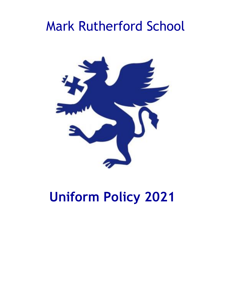# Mark Rutherford School



# **Uniform Policy 2021**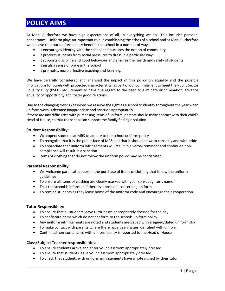# **POLICY AIMS**

At Mark Rutherford we have high expectations of all, in everything we do. This includes personal appearance. Uniform plays an important role in establishing the ethos of a school and at Mark Rutherford we believe that our uniform policy benefits the school in a number of ways:

- It encourages identity with the school and nurtures the notion of community
- It protects students from social pressures to dress in a particular way
- It supports discipline and good behaviour and ensures the health and safety of students
- It instils a sense of pride in the school
- It promotes more effective teaching and learning.

We have carefully considered and analysed the impact of this policy on equality and the possible implications for pupils with protected characteristics, as part of our commitment to meet the Public Sector Equality Duty (PSED) requirement to have due regard to the need to eliminate discrimination, advance equality of opportunity and foster good relations.

Due to the changing trends / fashions we reserve the right as a school to identify throughout the year when uniform worn is deemed inappropriate and sanction appropriately.

If there are any difficulties with purchasing items of uniform, parents should make contact with their child's Head of House, so that the school can support the family finding a solution.

### **Student Responsibility:**

- We expect students at MRS to adhere to the school uniform policy
- To recognise that it is the public face of MRS and that it should be worn correctly and with pride
- To appreciate that uniform infringements will result in a verbal reminder and continued noncompliance will result in a sanction
- Items of clothing that do not follow the uniform policy may be confiscated

### **Parental Responsibility:**

- We welcome parental support in the purchase of items of clothing that follow the uniform guidelines
- To ensure all items of clothing are clearly marked with your son/daughter's name
- That the school is informed if there is a problem concerning uniform
- To remind students as they leave home of the uniform code and encourage their cooperation

#### **Tutor Responsibility:**

- To ensure that all students leave tutor bases appropriately dressed for the day
- To confiscate items which do not conform to the schools uniform policy
- Any uniform infringements are noted and students are issued with a signed/dated uniform slip
- To make contact with parents where there have been issues identified with uniform
- Continued non-compliance with uniform policy is reported to the Head of House

#### **Class/Subject Teacher responsibilities:**

- To ensure students arrive and enter your classroom appropriately dressed
- To ensure that students leave your classroom appropriately dressed
- To check that students with uniform infringements have a note signed by their tutor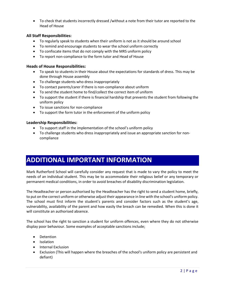• To check that students incorrectly dressed /without a note from their tutor are reported to the Head of House

# **All Staff Responsibilities:**

- To regularly speak to students when their uniform is not as it should be around school
- To remind and encourage students to wear the school uniform correctly
- To confiscate items that do not comply with the MRS uniform policy
- To report non-compliance to the form tutor and Head of House

## **Heads of House Responsibilities:**

- To speak to students in their House about the expectations for standards of dress. This may be done through House assembly
- To challenge students who dress inappropriately
- To contact parents/carer if there is non-compliance about uniform
- To send the student home to find/collect the correct item of uniform
- To support the student if there is financial hardship that prevents the student from following the uniform policy
- To issue sanctions for non-compliance
- To support the form tutor in the enforcement of the uniform policy

# **Leadership Responsibilities:**

- To support staff in the implementation of the school's uniform policy
- To challenge students who dress inappropriately and issue an appropriate sanction for noncompliance

# **ADDITIONAL IMPORTANT INFORMATION**

Mark Rutherford School will carefully consider any request that is made to vary the policy to meet the needs of an individual student. This may be to accommodate their religious belief or any temporary or permanent medical conditions, in order to avoid breaches of disability discrimination legislation.

The Headteacher or person authorised by the Headteacher has the right to send a student home, briefly, to put on the correct uniform or otherwise adjust their appearance in line with the school's uniform policy. The school must first inform the student's parents and consider factors such as the student's age, vulnerability, availability of the parent and how easily the breach can be remedied. When this is done it will constitute an authorised absence.

The school has the right to sanction a student for uniform offences, even where they do not otherwise display poor behaviour. Some examples of acceptable sanctions include;

- Detention
- Isolation
- Internal Exclusion
- Exclusion (This will happen where the breaches of the school's uniform policy are persistent and defiant)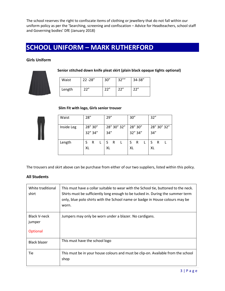The school reserves the right to confiscate items of clothing or jewellery that do not fall within our uniform policy as per the 'Searching, screening and confiscation – Advice for Headteachers, school staff and Governing bodies' DfE (January 2018)

# **SCHOOL UNIFORM – MARK RUTHERFORD**

# **Girls Uniform**



**Senior stitched down knife pleat skirt (plain black opaque tights optional)**

| Waist  | $22 - 28"$ | 30'' | 32'''' | 34-38" |  |  |
|--------|------------|------|--------|--------|--|--|
| Length | 22"        | 22"  | 22"    | 22"    |  |  |

### **Slim Fit with logo, Girls senior trouser**



| Waist      | 28'' |         | 29'' |   |             | 30'' |         | 32" |   |             |
|------------|------|---------|------|---|-------------|------|---------|-----|---|-------------|
| Inside Leg |      | 28" 30" |      |   | 28" 30" 32" |      | 28" 30" |     |   | 28" 30" 32" |
|            |      | 32" 34" | 34'' |   |             |      | 32" 34" | 34" |   |             |
| Length     | S    | R       | S    | R |             | S    | R       |     | R |             |
|            | XL   |         | XL   |   |             | XL   |         | XL  |   |             |

The trousers and skirt above can be purchase from either of our two suppliers, listed within this policy.

# **All Students**

| White traditional<br>shirt                | This must have a collar suitable to wear with the School tie, buttoned to the neck.<br>Shirts must be sufficiently long enough to be tucked in. During the summer term<br>only, blue polo shirts with the School name or badge in House colours may be<br>worn. |
|-------------------------------------------|-----------------------------------------------------------------------------------------------------------------------------------------------------------------------------------------------------------------------------------------------------------------|
| <b>Black V-neck</b><br>jumper<br>Optional | Jumpers may only be worn under a blazer. No cardigans.                                                                                                                                                                                                          |
| Black blazer                              | This must have the school logo                                                                                                                                                                                                                                  |
| Tie                                       | This must be in your house colours and must be clip-on. Available from the school<br>shop                                                                                                                                                                       |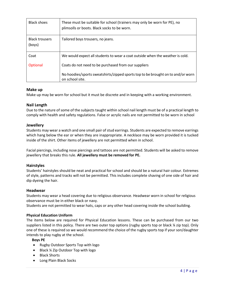| <b>Black shoes</b>              | These must be suitable for school (trainers may only be worn for PE), no<br>plimsolls or boots. Black socks to be worn. |
|---------------------------------|-------------------------------------------------------------------------------------------------------------------------|
| <b>Black trousers</b><br>(boys) | Tailored boys trousers, no jeans.                                                                                       |
| Coat                            | We would expect all students to wear a coat outside when the weather is cold.                                           |
| Optional                        | Coats do not need to be purchased from our suppliers                                                                    |
|                                 | No hoodies/sports sweatshirts/zipped sports top to be brought on to and/or worn<br>on school site.                      |

# **Make up**

Make up may be worn for school but it must be discrete and in keeping with a working environment.

## **Nail Length**

Due to the nature of some of the subjects taught within school nail length must be of a practical length to comply with health and safety regulations. False or acrylic nails are not permitted to be worn in school

## **Jewellery**

Students may wear a watch and one small pair of stud earrings. Students are expected to remove earrings which hang below the ear or when they are inappropriate. A necklace may be worn provided it is tucked inside of the shirt. Other items of jewellery are not permitted when in school.

Facial piercings, including nose piercings and tattoos are not permitted. Students will be asked to remove jewellery that breaks this rule. **All jewellery must be removed for PE.**

### **Hairstyles**

Students' hairstyles should be neat and practical for school and should be a natural hair colour. Extremes of style, patterns and tracks will not be permitted. This includes complete shaving of one side of hair and dip dyeing the hair.

### **Headwear**

Students may wear a head covering due to religious observance. Headwear worn in school for religious observance must be in either black or navy.

Students are not permitted to wear hats, caps or any other head covering inside the school building.

### **Physical Education Uniform**

The items below are required for Physical Education lessons. These can be purchased from our two suppliers listed in this policy. There are two outer top options (rugby sports top or black ¼ zip top). Only one of these is required so we would recommend the choice of the rugby sports top if your son/daughter intends to play rugby at the school.

 **Boys PE**

- Rugby Outdoor Sports Top with logo
- Black ¼ Zip Outdoor Top with logo
- Black Shorts
- Long Plain Black Socks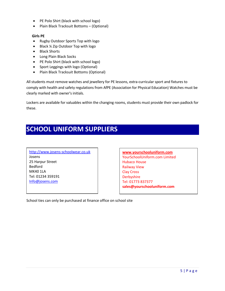- PE Polo Shirt (black with school logo)
- Plain Black Tracksuit Bottoms (Optional)

### **Girls PE**

- Rugby Outdoor Sports Top with logo
- Black ¼ Zip Outdoor Top with logo
- Black Shorts
- Long Plain Black Socks
- PE Polo Shirt (black with school logo)
- Sport Leggings with logo (Optional)
- Plain Black Tracksuit Bottoms (Optional)

All students must remove watches and jewellery for PE lessons, extra-curricular sport and fixtures to comply with health and safety regulations from AfPE (Association for Physical Education) Watches must be clearly marked with owner's initials.

Lockers are available for valuables within the changing rooms, students must provide their own padlock for these.

# **SCHOOL UNIFORM SUPPLIERS**

[http://www.josens-schoolwear.co.uk](http://www.josens-schoolwear.co.uk/) Josens 25 Harpur Street Bedford MK40 1LA Tel: 01234 359191 [Info@josens.com](mailto:Info@josens.com)

**[www.yourschooluniform.com](http://www.yourschooluniform.com/)** YourSchoolUniform.com Limited Hubaco House Railway View Clay Cross **Derbyshire** Tel: 01773 837377 **sales@yourschooluniform.com**

School ties can only be purchased at finance office on school site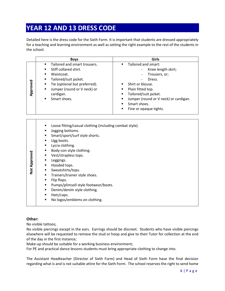# **YEAR 12 AND 13 DRESS CODE**

Detailed here is the dress code for the Sixth Form. It is important that students are dressed appropriately for a teaching and learning environment as well as setting the right example to the rest of the students in the school.

|          | <b>Boys</b>                                                                                                                                                                                                        | Girls                                                                                                                                                                                                                                                                                                                         |
|----------|--------------------------------------------------------------------------------------------------------------------------------------------------------------------------------------------------------------------|-------------------------------------------------------------------------------------------------------------------------------------------------------------------------------------------------------------------------------------------------------------------------------------------------------------------------------|
| Approved | Tailored and smart trousers.<br>Stiff collared shirt.<br>٠<br>Waistcoat.<br>٠<br>Tailored/suit jacket.<br>Tie (optional but preferred).<br>п<br>Jumper (round or V neck) or<br>٠<br>cardigan.<br>Smart shoes.<br>٠ | Tailored and smart:<br>$\blacksquare$<br>Knee length skirt;<br>Trousers, or;<br>Dress.<br>Shirt or blouse.<br>$\blacksquare$<br>Plain fitted top.<br>п<br>Tailored/suit jacket.<br>٠<br>Jumper (round or V neck) or cardigan.<br>$\blacksquare$<br>Smart shoes.<br>$\blacksquare$<br>Fine or opaque tights.<br>$\blacksquare$ |

- Loose fitting/casual clothing (including combat style).
	- Jogging bottoms.
	- Smart/sport/surf style shorts.
	- Ugg boots.
	- **■** Lycra clothing.
	- Body-con style clothing.
	- Vest/strapless tops.
	- **■** Leggings.
	- Hooded tops.
	- Sweatshirts/tops.
	- Trainers/trainer style shoes.
	- Flip flops.
	- Pumps/plimsoll style footwear/boots.
	- Denim/denim style clothing.
	- Hats/caps.
	- No logos/emblems on clothing.

# **Other:**

**Not Approved**

No visible tattoos;

No visible piercings except in the ears. Earrings should be discreet. Students who have visible piercings elsewhere will be requested to remove the stud or hoop and give to their Tutor for collection at the end of the day in the first instance;

Make-up should be suitable for a working business environment;

For PE and practical dance lessons students must bring appropriate clothing to change into.

The Assistant Headteacher (Director of Sixth Form) and Head of Sixth Form have the final decision regarding what is and is not suitable attire for the Sixth Form. The school reserves the right to send home